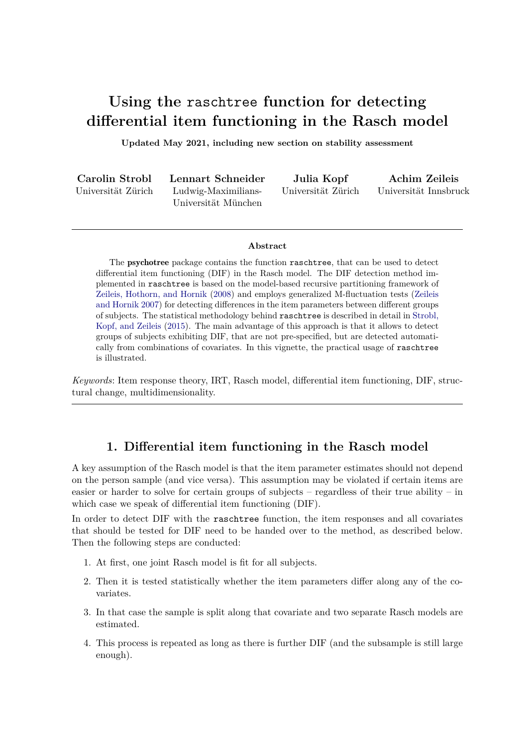# **Using the** raschtree **function for detecting differential item functioning in the Rasch model**

**Updated May 2021, including new section on stability assessment**

| Carolin Strobl     | Lennart Schneider   | Julia Kopf         | Achim Zeileis         |
|--------------------|---------------------|--------------------|-----------------------|
| Universität Zürich | Ludwig-Maximilians- | Universität Zürich | Universität Innsbruck |
|                    | Universität München |                    |                       |

#### **Abstract**

The psychotree package contains the function raschtree, that can be used to detect differential item functioning (DIF) in the Rasch model. The DIF detection method implemented in raschtree is based on the model-based recursive partitioning framework of Zeileis, Hothorn, and Hornik (2008) and employs generalized M-fluctuation tests (Zeileis and Hornik 2007) for detecting differences in the item parameters between different groups of subjects. The statistical methodology behind raschtree is described in detail in Strobl, Kopf, and Zeileis (2015). The main advantage of this approach is that it allows to detect groups of subjects exhibiting DIF, that are not pre-specified, but are detected automatically from combinations of covariates. In this vignette, the practical usage of raschtree is illustrated.

*Keywords*: Item response theory, IRT, Rasch model, differential item functioning, DIF, structural change, multidimensionality.

# **1. Differential item functioning in the Rasch model**

A key assumption of the Rasch model is that the item parameter estimates should not depend on the person sample (and vice versa). This assumption may be violated if certain items are easier or harder to solve for certain groups of subjects – regardless of their true ability – in which case we speak of differential item functioning (DIF).

In order to detect DIF with the raschtree function, the item responses and all covariates that should be tested for DIF need to be handed over to the method, as described below. Then the following steps are conducted:

- 1. At first, one joint Rasch model is fit for all subjects.
- 2. Then it is tested statistically whether the item parameters differ along any of the covariates.
- 3. In that case the sample is split along that covariate and two separate Rasch models are estimated.
- 4. This process is repeated as long as there is further DIF (and the subsample is still large enough).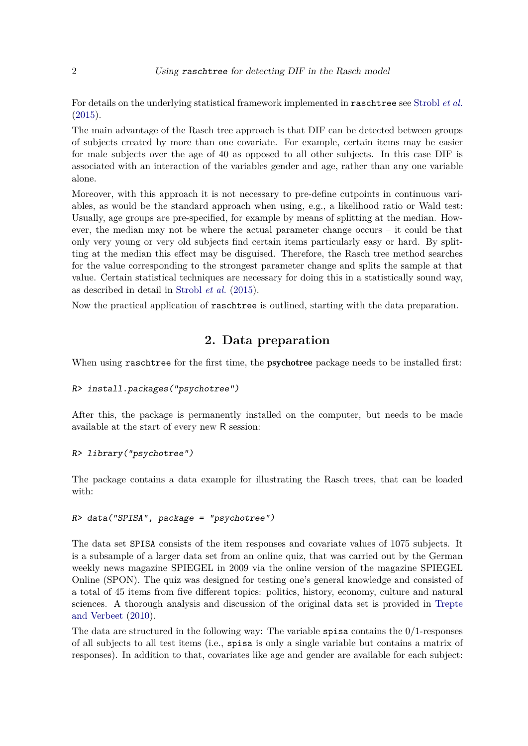For details on the underlying statistical framework implemented in raschtree see Strobl *et al.* (2015).

The main advantage of the Rasch tree approach is that DIF can be detected between groups of subjects created by more than one covariate. For example, certain items may be easier for male subjects over the age of 40 as opposed to all other subjects. In this case DIF is associated with an interaction of the variables gender and age, rather than any one variable alone.

Moreover, with this approach it is not necessary to pre-define cutpoints in continuous variables, as would be the standard approach when using, e.g., a likelihood ratio or Wald test: Usually, age groups are pre-specified, for example by means of splitting at the median. However, the median may not be where the actual parameter change occurs – it could be that only very young or very old subjects find certain items particularly easy or hard. By splitting at the median this effect may be disguised. Therefore, the Rasch tree method searches for the value corresponding to the strongest parameter change and splits the sample at that value. Certain statistical techniques are necessary for doing this in a statistically sound way, as described in detail in Strobl *et al.* (2015).

Now the practical application of raschtree is outlined, starting with the data preparation.

# **2. Data preparation**

When using raschtree for the first time, the **psychotree** package needs to be installed first:

```
R> install.packages("psychotree")
```
After this, the package is permanently installed on the computer, but needs to be made available at the start of every new R session:

## *R> library("psychotree")*

The package contains a data example for illustrating the Rasch trees, that can be loaded with:

### *R> data("SPISA", package = "psychotree")*

The data set SPISA consists of the item responses and covariate values of 1075 subjects. It is a subsample of a larger data set from an online quiz, that was carried out by the German weekly news magazine SPIEGEL in 2009 via the online version of the magazine SPIEGEL Online (SPON). The quiz was designed for testing one's general knowledge and consisted of a total of 45 items from five different topics: politics, history, economy, culture and natural sciences. A thorough analysis and discussion of the original data set is provided in Trepte and Verbeet (2010).

The data are structured in the following way: The variable spisa contains the  $0/1$ -responses of all subjects to all test items (i.e., spisa is only a single variable but contains a matrix of responses). In addition to that, covariates like age and gender are available for each subject: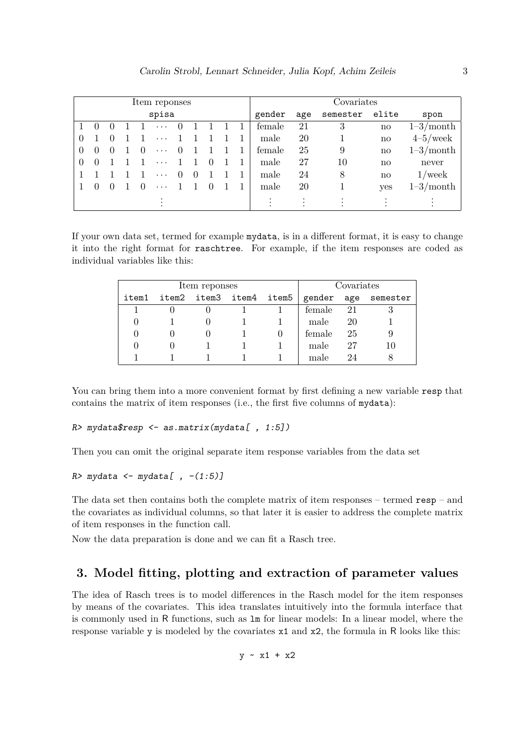| Item reponses |                  |        |  |  | Covariates |        |                  |          |        |      |    |     |             |
|---------------|------------------|--------|--|--|------------|--------|------------------|----------|--------|------|----|-----|-------------|
|               | spisa            |        |  |  |            | gender | age              | semester | elite  | spon |    |     |             |
|               | $\theta$         |        |  |  | $\cdots$   |        |                  |          | female | 21   | 3  | no  | $1-3/month$ |
| $\theta$      |                  |        |  |  | $\ddots$ . |        |                  |          | male   | 20   |    | no  | $4-5$ /week |
| $\theta$      | $\theta$         | $\cup$ |  |  | $\cdots$   |        |                  |          | female | 25   | 9  | no  | $1-3/month$ |
| $\theta$      | $\left( \right)$ |        |  |  | $\ddotsc$  |        |                  |          | male   | 27   | 10 | no  | never       |
|               |                  |        |  |  | $\ddots$ . |        |                  |          | male   | 24   | 8  | no  | $1$ /week   |
|               | $\theta$         |        |  |  | $\ddots$ . |        | $\left( \right)$ |          | male   | 20   |    | yes | $1-3/month$ |
|               |                  |        |  |  |            |        |                  |          |        |      |    |     |             |

If your own data set, termed for example mydata, is in a different format, it is easy to change it into the right format for raschtree. For example, if the item responses are coded as individual variables like this:

|       | Item reponses |                         | Covariates |     |                     |
|-------|---------------|-------------------------|------------|-----|---------------------|
| item1 |               | item2 item3 item4 item5 |            |     | gender age semester |
|       |               |                         | female     | -21 |                     |
|       |               |                         | male       | 20  |                     |
|       |               |                         | female     | 25  |                     |
|       |               |                         | male       | 27  | 10                  |
|       |               |                         | male       |     |                     |

You can bring them into a more convenient format by first defining a new variable resp that contains the matrix of item responses (i.e., the first five columns of mydata):

#### *R> mydata\$resp <- as.matrix(mydata[ , 1:5])*

Then you can omit the original separate item response variables from the data set

```
R> mydata <- mydata[ , -(1:5)]
```
The data set then contains both the complete matrix of item responses – termed resp – and the covariates as individual columns, so that later it is easier to address the complete matrix of item responses in the function call.

Now the data preparation is done and we can fit a Rasch tree.

# **3. Model fitting, plotting and extraction of parameter values**

The idea of Rasch trees is to model differences in the Rasch model for the item responses by means of the covariates. This idea translates intuitively into the formula interface that is commonly used in R functions, such as lm for linear models: In a linear model, where the response variable y is modeled by the covariates x1 and x2, the formula in R looks like this:

 $y - x1 + x2$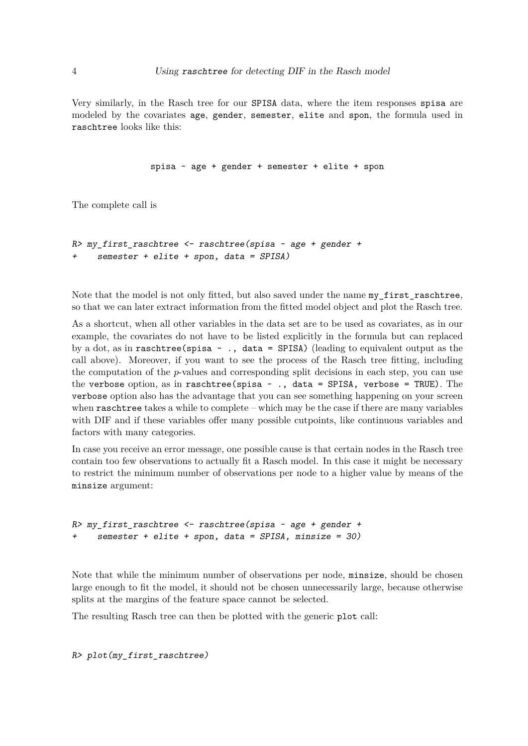Very similarly, in the Rasch tree for our SPISA data, where the item responses spisa are modeled by the covariates age, gender, semester, elite and spon, the formula used in raschtree looks like this:

```
spisa ~ age + gender + semester + elite + spon
```
The complete call is

```
R> my_first_raschtree <- raschtree(spisa ~ age + gender +
     + semester + elite + spon, data = SPISA)
```
Note that the model is not only fitted, but also saved under the name my\_first\_raschtree, so that we can later extract information from the fitted model object and plot the Rasch tree.

As a shortcut, when all other variables in the data set are to be used as covariates, as in our example, the covariates do not have to be listed explicitly in the formula but can replaced by a dot, as in raschtree(spisa ~ ., data = SPISA) (leading to equivalent output as the call above). Moreover, if you want to see the process of the Rasch tree fitting, including the computation of the *p*-values and corresponding split decisions in each step, you can use the verbose option, as in raschtree(spisa  $\sim$  ., data = SPISA, verbose = TRUE). The verbose option also has the advantage that you can see something happening on your screen when raschtree takes a while to complete – which may be the case if there are many variables with DIF and if these variables offer many possible cutpoints, like continuous variables and factors with many categories.

In case you receive an error message, one possible cause is that certain nodes in the Rasch tree contain too few observations to actually fit a Rasch model. In this case it might be necessary to restrict the minimum number of observations per node to a higher value by means of the minsize argument:

```
R> my_first_raschtree <- raschtree(spisa ~ age + gender +
     + semester + elite + spon, data = SPISA, minsize = 30)
```
Note that while the minimum number of observations per node, minsize, should be chosen large enough to fit the model, it should not be chosen unnecessarily large, because otherwise splits at the margins of the feature space cannot be selected.

The resulting Rasch tree can then be plotted with the generic plot call:

*R> plot(my\_first\_raschtree)*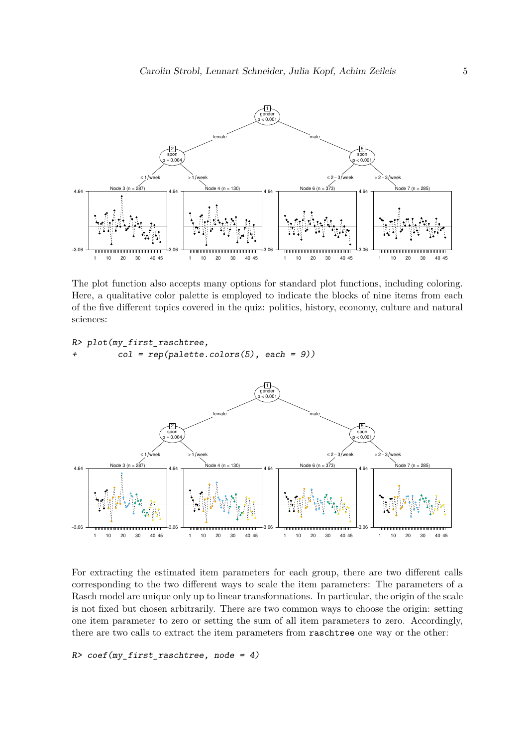

The plot function also accepts many options for standard plot functions, including coloring. Here, a qualitative color palette is employed to indicate the blocks of nine items from each of the five different topics covered in the quiz: politics, history, economy, culture and natural sciences:

```
R> plot(my_first_raschtree,
        col = rep(palette.colors(5), each = 9)
```


For extracting the estimated item parameters for each group, there are two different calls corresponding to the two different ways to scale the item parameters: The parameters of a Rasch model are unique only up to linear transformations. In particular, the origin of the scale is not fixed but chosen arbitrarily. There are two common ways to choose the origin: setting one item parameter to zero or setting the sum of all item parameters to zero. Accordingly, there are two calls to extract the item parameters from raschtree one way or the other:

## *R> coef(my\_first\_raschtree, node = 4)*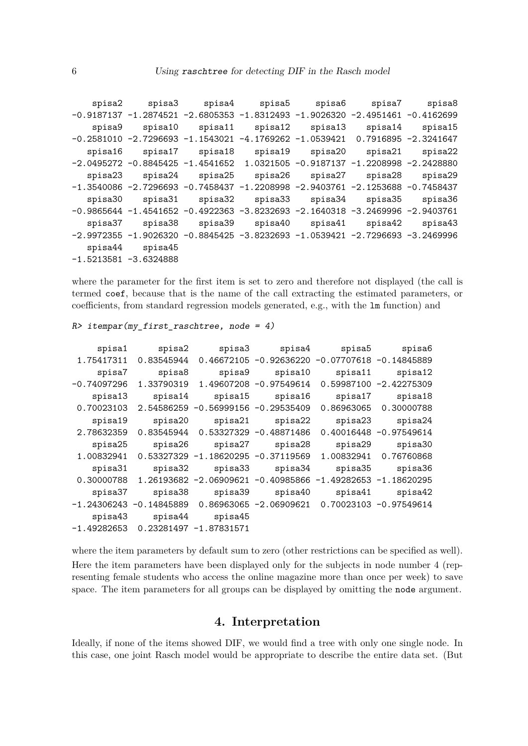```
spisa2 spisa3 spisa4 spisa5 spisa6 spisa7 spisa8
-0.9187137 -1.2874521 -2.6805353 -1.8312493 -1.9026320 -2.4951461 -0.4162699
   spisa9 spisa10 spisa11 spisa12 spisa13 spisa14 spisa15
-0.2581010 -2.7296693 -1.1543021 -4.1769262 -1.0539421 0.7916895 -2.3241647
  spisa16 spisa17 spisa18 spisa19 spisa20 spisa21 spisa22
-2.0495272 -0.8845425 -1.4541652 1.0321505 -0.9187137 -1.2208998 -2.2428880
  spisa23 spisa24 spisa25 spisa26 spisa27 spisa28 spisa29
-1.3540086 -2.7296693 -0.7458437 -1.2208998 -2.9403761 -2.1253688 -0.7458437
  spisa30 spisa31 spisa32 spisa33 spisa34 spisa35 spisa36
-0.9865644 -1.4541652 -0.4922363 -3.8232693 -2.1640318 -3.2469996 -2.9403761
  spisa37 spisa38 spisa39 spisa40 spisa41 spisa42 spisa43
-2.9972355 -1.9026320 -0.8845425 -3.8232693 -1.0539421 -2.7296693 -3.2469996
  spisa44 spisa45
-1.5213581 -3.6324888
```
where the parameter for the first item is set to zero and therefore not displayed (the call is termed coef, because that is the name of the call extracting the estimated parameters, or coefficients, from standard regression models generated, e.g., with the lm function) and

```
R> itempar(my_first_raschtree, node = 4)
```

|                           | spisa4 spisa5 spisa6 |                                                                           | spisa3 | spisa2                                 | spisa1        |
|---------------------------|----------------------|---------------------------------------------------------------------------|--------|----------------------------------------|---------------|
|                           |                      | 1.75417311  0.83545944  0.46672105  -0.92636220  -0.07707618  -0.14845889 |        |                                        |               |
| spisa12                   | spisa10 spisa11      |                                                                           | spisa9 | spisa8                                 | spisa7        |
| 0.59987100 -2.42275309    |                      | 1.33790319  1.49607208  -0.97549614                                       |        |                                        | $-0.74097296$ |
| spisa18                   |                      | spisa15 spisa16 spisa17                                                   |        | spisa13 spisa14                        |               |
| 0.86963065 0.30000788     |                      | $0.70023103$ 2.54586259 -0.56999156 -0.29535409                           |        |                                        |               |
|                           |                      | spisa19 spisa20 spisa21 spisa22 spisa23 spisa24                           |        |                                        |               |
| $0.40016448 - 0.97549614$ |                      | $0.83545944$ 0.53327329 -0.48871486                                       |        |                                        | 2.78632359    |
| spisa30                   |                      | spisa25 spisa26 spisa27 spisa28 spisa29                                   |        |                                        |               |
| 1.00832941 0.76760868     |                      | 1.00832941  0.53327329  -1.18620295  -0.37119569                          |        |                                        |               |
| spisa36                   |                      | spisa33 spisa34 spisa35                                                   |        | spisa31 spisa32                        |               |
|                           |                      | 0.30000788 1.26193682 -2.06909621 -0.40985866 -1.49282653 -1.18620295     |        |                                        |               |
| spisa42                   |                      | spisa39 spisa40 spisa41                                                   |        | spisa37 spisa38                        |               |
|                           |                      | $-1.24306243 -0.14845889 0.86963065 -2.06909621 0.70023103 -0.97549614$   |        |                                        |               |
|                           |                      |                                                                           |        | spisa43 spisa44 spisa45                |               |
|                           |                      |                                                                           |        | $-1.49282653$ 0.23281497 $-1.87831571$ |               |

where the item parameters by default sum to zero (other restrictions can be specified as well). Here the item parameters have been displayed only for the subjects in node number 4 (representing female students who access the online magazine more than once per week) to save space. The item parameters for all groups can be displayed by omitting the node argument.

## **4. Interpretation**

Ideally, if none of the items showed DIF, we would find a tree with only one single node. In this case, one joint Rasch model would be appropriate to describe the entire data set. (But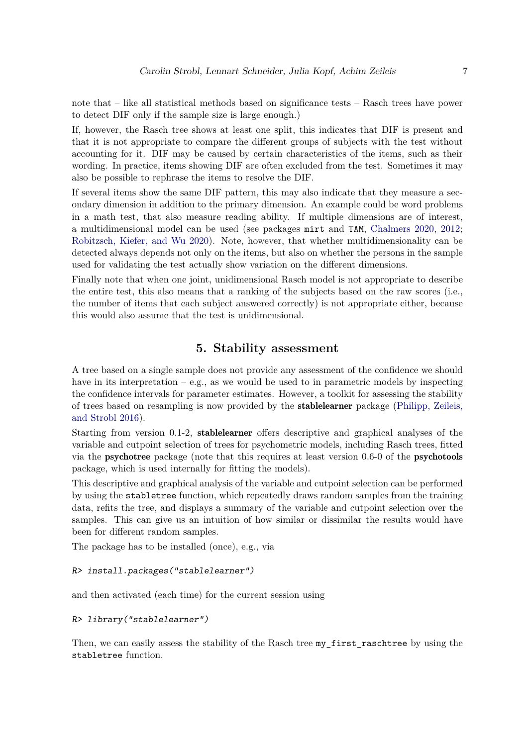note that – like all statistical methods based on significance tests – Rasch trees have power to detect DIF only if the sample size is large enough.)

If, however, the Rasch tree shows at least one split, this indicates that DIF is present and that it is not appropriate to compare the different groups of subjects with the test without accounting for it. DIF may be caused by certain characteristics of the items, such as their wording. In practice, items showing DIF are often excluded from the test. Sometimes it may also be possible to rephrase the items to resolve the DIF.

If several items show the same DIF pattern, this may also indicate that they measure a secondary dimension in addition to the primary dimension. An example could be word problems in a math test, that also measure reading ability. If multiple dimensions are of interest, a multidimensional model can be used (see packages mirt and TAM, Chalmers 2020, 2012; Robitzsch, Kiefer, and Wu 2020). Note, however, that whether multidimensionality can be detected always depends not only on the items, but also on whether the persons in the sample used for validating the test actually show variation on the different dimensions.

Finally note that when one joint, unidimensional Rasch model is not appropriate to describe the entire test, this also means that a ranking of the subjects based on the raw scores (i.e., the number of items that each subject answered correctly) is not appropriate either, because this would also assume that the test is unidimensional.

# **5. Stability assessment**

A tree based on a single sample does not provide any assessment of the confidence we should have in its interpretation  $-e.g.,$  as we would be used to in parametric models by inspecting the confidence intervals for parameter estimates. However, a toolkit for assessing the stability of trees based on resampling is now provided by the stablelearner package (Philipp, Zeileis, and Strobl 2016).

Starting from version 0.1-2, stablelearner offers descriptive and graphical analyses of the variable and cutpoint selection of trees for psychometric models, including Rasch trees, fitted via the psychotree package (note that this requires at least version 0.6-0 of the psychotools package, which is used internally for fitting the models).

This descriptive and graphical analysis of the variable and cutpoint selection can be performed by using the stabletree function, which repeatedly draws random samples from the training data, refits the tree, and displays a summary of the variable and cutpoint selection over the samples. This can give us an intuition of how similar or dissimilar the results would have been for different random samples.

The package has to be installed (once), e.g., via

### *R> install.packages("stablelearner")*

and then activated (each time) for the current session using

#### *R> library("stablelearner")*

Then, we can easily assess the stability of the Rasch tree my\_first\_raschtree by\_using the stabletree function.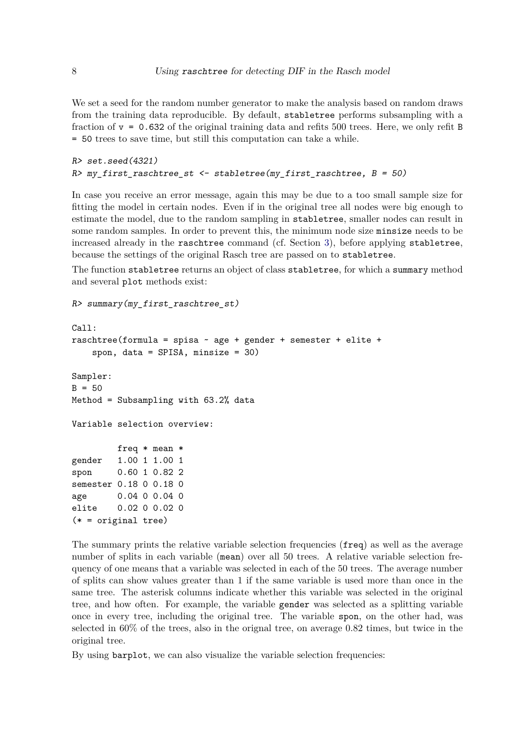We set a seed for the random number generator to make the analysis based on random draws from the training data reproducible. By default, stabletree performs subsampling with a fraction of  $v = 0.632$  of the original training data and refits 500 trees. Here, we only refit B = 50 trees to save time, but still this computation can take a while.

```
R> set.seed(4321)
R> my_first_raschtree_st <- stabletree(my_first_raschtree, B = 50)
```
In case you receive an error message, again this may be due to a too small sample size for fitting the model in certain nodes. Even if in the original tree all nodes were big enough to estimate the model, due to the random sampling in stabletree, smaller nodes can result in some random samples. In order to prevent this, the minimum node size minsize needs to be increased already in the raschtree command (cf. Section 3), before applying stabletree, because the settings of the original Rasch tree are passed on to stabletree.

The function stabletree returns an object of class stabletree, for which a summary method and several plot methods exist:

```
R> summary(my_first_raschtree_st)
```

```
Call:
raschtree(formula = spisa \sim age + gender + semester + elite +
    spon, data = SPISA, minsize = 30)
Sampler:
B = 50Method = Subsampling with 63.2% data
Variable selection overview:
         freq * mean *
gender 1.00 1 1.00 1
spon 0.60 1 0.82 2
semester 0.18 0 0.18 0
age 0.04 0 0.04 0
elite 0.02 0 0.02 0
(* = original tree)
```
The summary prints the relative variable selection frequencies (freq) as well as the average number of splits in each variable (mean) over all 50 trees. A relative variable selection frequency of one means that a variable was selected in each of the 50 trees. The average number of splits can show values greater than 1 if the same variable is used more than once in the same tree. The asterisk columns indicate whether this variable was selected in the original tree, and how often. For example, the variable gender was selected as a splitting variable once in every tree, including the original tree. The variable spon, on the other had, was selected in 60% of the trees, also in the orignal tree, on average 0.82 times, but twice in the original tree.

By using barplot, we can also visualize the variable selection frequencies: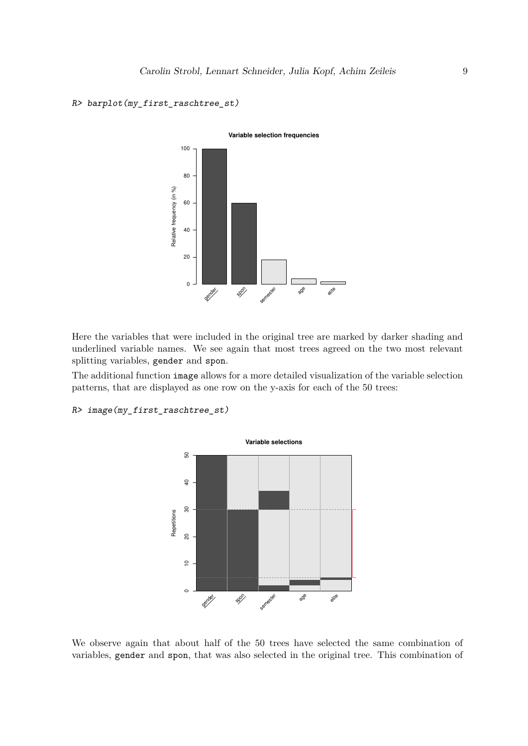

# *R> barplot(my\_first\_raschtree\_st)*

Here the variables that were included in the original tree are marked by darker shading and underlined variable names. We see again that most trees agreed on the two most relevant splitting variables, gender and spon.

The additional function image allows for a more detailed visualization of the variable selection patterns, that are displayed as one row on the y-axis for each of the 50 trees:

```
R> image(my_first_raschtree_st)
```


We observe again that about half of the 50 trees have selected the same combination of variables, gender and spon, that was also selected in the original tree. This combination of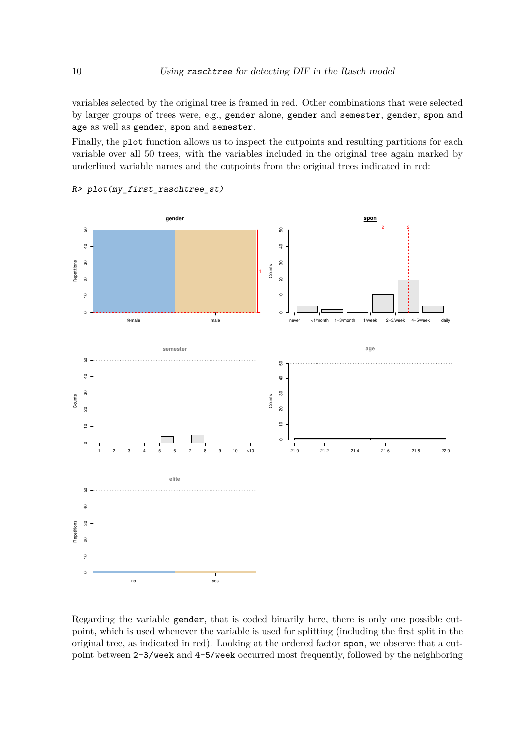variables selected by the original tree is framed in red. Other combinations that were selected by larger groups of trees were, e.g., gender alone, gender and semester, gender, spon and age as well as gender, spon and semester.

Finally, the plot function allows us to inspect the cutpoints and resulting partitions for each variable over all 50 trees, with the variables included in the original tree again marked by underlined variable names and the cutpoints from the original trees indicated in red:



*R> plot(my\_first\_raschtree\_st)*

Regarding the variable gender, that is coded binarily here, there is only one possible cutpoint, which is used whenever the variable is used for splitting (including the first split in the original tree, as indicated in red). Looking at the ordered factor spon, we observe that a cutpoint between 2-3/week and 4-5/week occurred most frequently, followed by the neighboring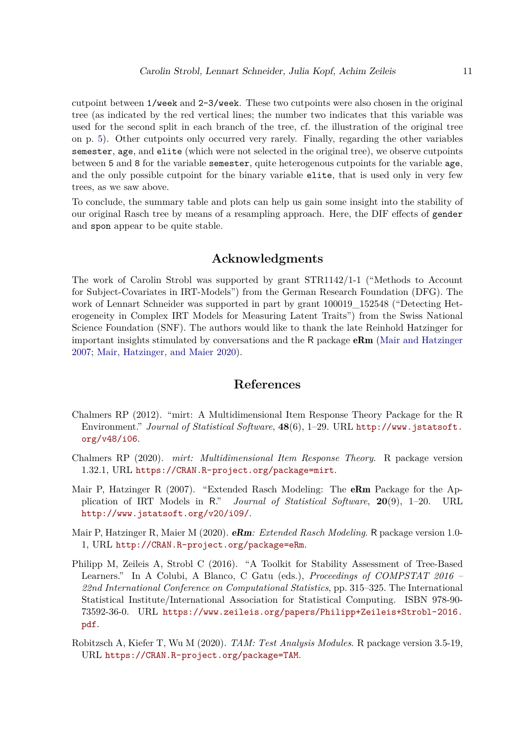cutpoint between 1/week and 2-3/week. These two cutpoints were also chosen in the original tree (as indicated by the red vertical lines; the number two indicates that this variable was used for the second split in each branch of the tree, cf. the illustration of the original tree on p. 5). Other cutpoints only occurred very rarely. Finally, regarding the other variables semester, age, and elite (which were not selected in the original tree), we observe cutpoints between 5 and 8 for the variable semester, quite heterogenous cutpoints for the variable age, and the only possible cutpoint for the binary variable elite, that is used only in very few trees, as we saw above.

To conclude, the summary table and plots can help us gain some insight into the stability of our original Rasch tree by means of a resampling approach. Here, the DIF effects of gender and spon appear to be quite stable.

## **Acknowledgments**

The work of Carolin Strobl was supported by grant STR1142/1-1 ("Methods to Account for Subject-Covariates in IRT-Models") from the German Research Foundation (DFG). The work of Lennart Schneider was supported in part by grant 100019\_152548 ("Detecting Heterogeneity in Complex IRT Models for Measuring Latent Traits") from the Swiss National Science Foundation (SNF). The authors would like to thank the late Reinhold Hatzinger for important insights stimulated by conversations and the R package  $\mathbf{eRm}$  (Mair and Hatzinger 2007; Mair, Hatzinger, and Maier 2020).

# **References**

- Chalmers RP (2012). "mirt: A Multidimensional Item Response Theory Package for the R Environment." *Journal of Statistical Software*, **48**(6), 1–29. URL [http://www.jstatsoft.](http://www.jstatsoft.org/v48/i06) [org/v48/i06](http://www.jstatsoft.org/v48/i06).
- Chalmers RP (2020). *mirt: Multidimensional Item Response Theory*. R package version 1.32.1, URL <https://CRAN.R-project.org/package=mirt>.
- Mair P, Hatzinger R (2007). "Extended Rasch Modeling: The **eRm** Package for the Application of IRT Models in R." *Journal of Statistical Software*, **20**(9), 1–20. URL <http://www.jstatsoft.org/v20/i09/>.
- Mair P, Hatzinger R, Maier M (2020). eRm*: Extended Rasch Modeling*. R package version 1.0- 1, URL <http://CRAN.R-project.org/package=eRm>.
- Philipp M, Zeileis A, Strobl C (2016). "A Toolkit for Stability Assessment of Tree-Based Learners." In A Colubi, A Blanco, C Gatu (eds.), *Proceedings of COMPSTAT 2016 – 22nd International Conference on Computational Statistics*, pp. 315–325. The International Statistical Institute/International Association for Statistical Computing. ISBN 978-90- 73592-36-0. URL [https://www.zeileis.org/papers/Philipp+Zeileis+Strobl-2016.](https://www.zeileis.org/papers/Philipp+Zeileis+Strobl-2016.pdf) [pdf](https://www.zeileis.org/papers/Philipp+Zeileis+Strobl-2016.pdf).
- Robitzsch A, Kiefer T, Wu M (2020). *TAM: Test Analysis Modules*. R package version 3.5-19, URL <https://CRAN.R-project.org/package=TAM>.